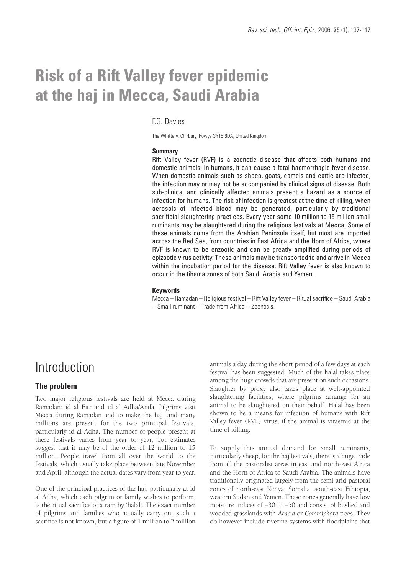# **Risk of a Rift Valley fever epidemic at the haj in Mecca, Saudi Arabia**

#### F.G. Davies

The Whittery, Chirbury, Powys SY15 6DA, United Kingdom

#### **Summary**

Rift Valley fever (RVF) is a zoonotic disease that affects both humans and domestic animals. In humans, it can cause a fatal haemorrhagic fever disease. When domestic animals such as sheep, goats, camels and cattle are infected, the infection may or may not be accompanied by clinical signs of disease. Both sub-clinical and clinically affected animals present a hazard as a source of infection for humans. The risk of infection is greatest at the time of killing, when aerosols of infected blood may be generated, particularly by traditional sacrificial slaughtering practices. Every year some 10 million to 15 million small ruminants may be slaughtered during the religious festivals at Mecca. Some of these animals come from the Arabian Peninsula itself, but most are imported across the Red Sea, from countries in East Africa and the Horn of Africa, where RVF is known to be enzootic and can be greatly amplified during periods of epizootic virus activity. These animals may be transported to and arrive in Mecca within the incubation period for the disease. Rift Valley fever is also known to occur in the tihama zones of both Saudi Arabia and Yemen.

#### **Keywords**

Mecca – Ramadan – Religious festival – Rift Valley fever – Ritual sacrifice – Saudi Arabia – Small ruminant – Trade from Africa – Zoonosis.

## Introduction

### **The problem**

Two major religious festivals are held at Mecca during Ramadan: id al Fitr and id al Adha/Arafa. Pilgrims visit Mecca during Ramadan and to make the haj, and many millions are present for the two principal festivals, particularly id al Adha. The number of people present at these festivals varies from year to year, but estimates suggest that it may be of the order of 12 million to 15 million. People travel from all over the world to the festivals, which usually take place between late November and April, although the actual dates vary from year to year.

One of the principal practices of the haj, particularly at id al Adha, which each pilgrim or family wishes to perform, is the ritual sacrifice of a ram by 'halal'. The exact number of pilgrims and families who actually carry out such a sacrifice is not known, but a figure of 1 million to 2 million animals a day during the short period of a few days at each festival has been suggested. Much of the halal takes place among the huge crowds that are present on such occasions. Slaughter by proxy also takes place at well-appointed slaughtering facilities, where pilgrims arrange for an animal to be slaughtered on their behalf. Halal has been shown to be a means for infection of humans with Rift Valley fever (RVF) virus, if the animal is viraemic at the time of killing.

To supply this annual demand for small ruminants, particularly sheep, for the haj festivals, there is a huge trade from all the pastoralist areas in east and north-east Africa and the Horn of Africa to Saudi Arabia. The animals have traditionally originated largely from the semi-arid pastoral zones of north-east Kenya, Somalia, south-east Ethiopia, western Sudan and Yemen. These zones generally have low moisture indices of –30 to –50 and consist of bushed and wooded grasslands with *Acacia* or *Commiphora* trees. They do however include riverine systems with floodplains that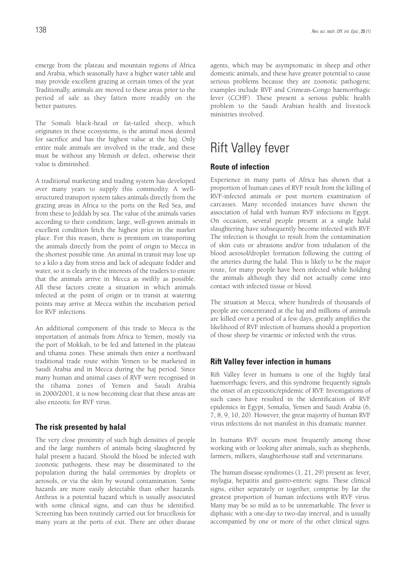emerge from the plateau and mountain regions of Africa and Arabia, which seasonally have a higher water table and may provide excellent grazing at certain times of the year. Traditionally, animals are moved to these areas prior to the period of sale as they fatten more readily on the better pastures.

The Somali black-head or fat-tailed sheep, which originates in these ecosystems, is the animal most desired for sacrifice and has the highest value at the haj. Only entire male animals are involved in the trade, and these must be without any blemish or defect, otherwise their value is diminished.

A traditional marketing and trading system has developed over many years to supply this commodity. A wellstructured transport system takes animals directly from the grazing areas in Africa to the ports on the Red Sea, and from these to Jeddah by sea. The value of the animals varies according to their condition; large, well-grown animals in excellent condition fetch the highest price in the market place. For this reason, there is premium on transporting the animals directly from the point of origin to Mecca in the shortest possible time. An animal in transit may lose up to a kilo a day from stress and lack of adequate fodder and water, so it is clearly in the interests of the traders to ensure that the animals arrive in Mecca as swiftly as possible. All these factors create a situation in which animals infected at the point of origin or in transit at watering points may arrive at Mecca within the incubation period for RVF infections.

An additional component of this trade to Mecca is the importation of animals from Africa to Yemen, mostly via the port of Mokkah, to be fed and fattened in the plateau and tihama zones. These animals then enter a northward traditional trade route within Yemen to be marketed in Saudi Arabia and in Mecca during the haj period. Since many human and animal cases of RVF were recognised in the tihama zones of Yemen and Saudi Arabia in 2000/2001, it is now becoming clear that these areas are also enzootic for RVF virus.

#### **The risk presented by halal**

The very close proximity of such high densities of people and the large numbers of animals being slaughtered by halal present a hazard. Should the blood be infected with zoonotic pathogens, these may be disseminated to the population during the halal ceremonies by droplets or aerosols, or via the skin by wound contamination. Some hazards are more easily detectable than other hazards. Anthrax is a potential hazard which is usually associated with some clinical signs, and can thus be identified. Screening has been routinely carried out for brucellosis for many years at the ports of exit. There are other disease agents, which may be asymptomatic in sheep and other domestic animals, and these have greater potential to cause serious problems because they are zoonotic pathogens; examples include RVF and Crimean-Congo haemorrhagic fever (CCHF). These present a serious public health problem to the Saudi Arabian health and livestock ministries involved.

## Rift Valley fever

### **Route of infection**

Experience in many parts of Africa has shown that a proportion of human cases of RVF result from the killing of RVF-infected animals or post mortem examination of carcasses. Many recorded instances have shown the association of halal with human RVF infections in Egypt. On occasion, several people present at a single halal slaughtering have subsequently become infected with RVF. The infection is thought to result from the contamination of skin cuts or abrasions and/or from inhalation of the blood aerosol/droplet formation following the cutting of the arteries during the halal. This is likely to be the major route, for many people have been infected while holding the animals although they did not actually come into contact with infected tissue or blood.

The situation at Mecca, where hundreds of thousands of people are concentrated at the haj and millions of animals are killed over a period of a few days, greatly amplifies the likelihood of RVF infection of humans should a proportion of those sheep be viraemic or infected with the virus.

### **Rift Valley fever infection in humans**

Rift Valley fever in humans is one of the highly fatal haemorrhagic fevers, and this syndrome frequently signals the onset of an epizootic/epidemic of RVF. Investigations of such cases have resulted in the identification of RVF epidemics in Egypt, Somalia, Yemen and Saudi Arabia (6, 7, 8, 9, 10, 20). However, the great majority of human RVF virus infections do not manifest in this dramatic manner.

In humans RVF occurs most frequently among those working with or looking after animals, such as shepherds, farmers, milkers, slaughterhouse staff and veterinarians.

The human disease syndromes (1, 21, 29) present as: fever, mylagia, hepatitis and gastro-enteric signs. These clinical signs, either separately or together, comprise by far the greatest proportion of human infections with RVF virus. Many may be so mild as to be unremarkable. The fever is diphasic with a one-day to two-day interval, and is usually accompanied by one or more of the other clinical signs.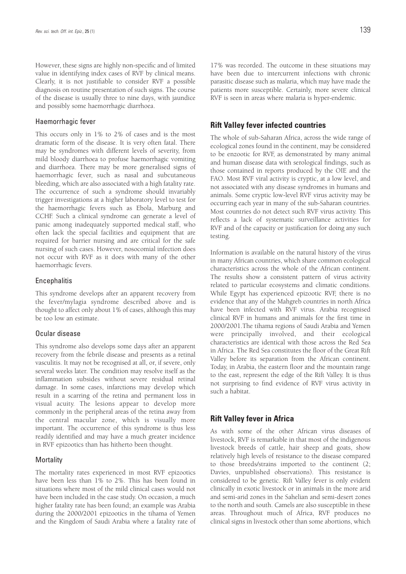However, these signs are highly non-specific and of limited value in identifying index cases of RVF by clinical means. Clearly, it is not justifiable to consider RVF a possible diagnosis on routine presentation of such signs. The course of the disease is usually three to nine days, with jaundice and possibly some haemorrhagic diarrhoea.

#### Haemorrhagic fever

This occurs only in 1% to 2% of cases and is the most dramatic form of the disease. It is very often fatal. There may be syndromes with different levels of severity, from mild bloody diarrhoea to profuse haemorrhagic vomiting and diarrhoea. There may be more generalised signs of haemorrhagic fever, such as nasal and subcutaneous bleeding, which are also associated with a high fatality rate. The occurrence of such a syndrome should invariably trigger investigations at a higher laboratory level to test for the haemorrhagic fevers such as Ebola, Marburg and CCHF. Such a clinical syndrome can generate a level of panic among inadequately supported medical staff, who often lack the special facilities and equipment that are required for barrier nursing and are critical for the safe nursing of such cases. However, nosocomial infection does not occur with RVF as it does with many of the other haemorrhagic fevers.

#### **Encephalitis**

This syndrome develops after an apparent recovery from the fever/mylagia syndrome described above and is thought to affect only about 1% of cases, although this may be too low an estimate.

#### Ocular disease

This syndrome also develops some days after an apparent recovery from the febrile disease and presents as a retinal vasculitis. It may not be recognised at all, or, if severe, only several weeks later. The condition may resolve itself as the inflammation subsides without severe residual retinal damage. In some cases, infarctions may develop which result in a scarring of the retina and permanent loss in visual acuity. The lesions appear to develop more commonly in the peripheral areas of the retina away from the central macular zone, which is visually more important. The occurrence of this syndrome is thus less readily identified and may have a much greater incidence in RVF epizootics than has hitherto been thought.

#### **Mortality**

The mortality rates experienced in most RVF epizootics have been less than 1% to 2%. This has been found in situations where most of the mild clinical cases would not have been included in the case study. On occasion, a much higher fatality rate has been found; an example was Arabia during the 2000/2001 epizootics in the tihama of Yemen and the Kingdom of Saudi Arabia where a fatality rate of

17% was recorded. The outcome in these situations may have been due to intercurrent infections with chronic parasitic disease such as malaria, which may have made the patients more susceptible. Certainly, more severe clinical RVF is seen in areas where malaria is hyper-endemic.

#### **Rift Valley fever infected countries**

The whole of sub-Saharan Africa, across the wide range of ecological zones found in the continent, may be considered to be enzootic for RVF, as demonstrated by many animal and human disease data with serological findings, such as those contained in reports produced by the OIE and the FAO. Most RVF viral activity is cryptic, at a low level, and not associated with any disease syndromes in humans and animals. Some cryptic low-level RVF virus activity may be occurring each year in many of the sub-Saharan countries. Most countries do not detect such RVF virus activity. This reflects a lack of systematic surveillance activities for RVF and of the capacity or justification for doing any such testing.

Information is available on the natural history of the virus in many African countries, which share common ecological characteristics across the whole of the African continent. The results show a consistent pattern of virus activity related to particular ecosystems and climatic conditions. While Egypt has experienced epizootic RVF, there is no evidence that any of the Mahgreb countries in north Africa have been infected with RVF virus. Arabia recognised clinical RVF in humans and animals for the first time in 2000/2001.The tihama regions of Saudi Arabia and Yemen were principally involved, and their ecological characteristics are identical with those across the Red Sea in Africa. The Red Sea constitutes the floor of the Great Rift Valley before its separation from the African continent. Today, in Arabia, the eastern floor and the mountain range to the east, represent the edge of the Rift Valley. It is thus not surprising to find evidence of RVF virus activity in such a habitat.

#### **Rift Valley fever in Africa**

As with some of the other African virus diseases of livestock, RVF is remarkable in that most of the indigenous livestock breeds of cattle, hair sheep and goats, show relatively high levels of resistance to the disease compared to those breeds/strains imported to the continent (2; Davies, unpublished observations). This resistance is considered to be genetic. Rift Valley fever is only evident clinically in exotic livestock or in animals in the more arid and semi-arid zones in the Sahelian and semi-desert zones to the north and south. Camels are also susceptible in these areas. Throughout much of Africa, RVF produces no clinical signs in livestock other than some abortions, which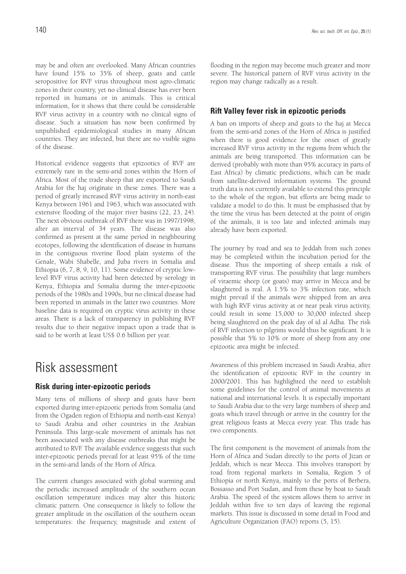may be and often are overlooked. Many African countries have found 15% to 35% of sheep, goats and cattle seropositive for RVF virus throughout most agro-climatic zones in their country, yet no clinical disease has ever been reported in humans or in animals. This is critical information, for it shows that there could be considerable RVF virus activity in a country with no clinical signs of disease. Such a situation has now been confirmed by unpublished epidemiological studies in many African countries. They are infected, but there are no visible signs of the disease.

Historical evidence suggests that epizootics of RVF are extremely rare in the semi-arid zones within the Horn of Africa. Most of the trade sheep that are exported to Saudi Arabia for the haj originate in these zones. There was a period of greatly increased RVF virus activity in north-east Kenya between 1961 and 1963, which was associated with extensive flooding of the major river basins (22, 23, 24). The next obvious outbreak of RVF there was in 1997/1998, after an interval of 34 years. The disease was also confirmed as present at the same period in neighbouring ecotopes, following the identification of disease in humans in the contiguous riverine flood plain systems of the Genale, Wabi Shabelle, and Juba rivers in Somalia and Ethiopia (6, 7, 8, 9, 10, 11). Some evidence of cryptic lowlevel RVF virus activity had been detected by serology in Kenya, Ethiopia and Somalia during the inter-epizootic periods of the 1980s and 1990s, but no clinical disease had been reported in animals in the latter two countries. More baseline data is required on cryptic virus activity in these areas. There is a lack of transparency in publishing RVF results due to their negative impact upon a trade that is said to be worth at least US\$ 0.6 billion per year.

## Risk assessment

## **Risk during inter-epizootic periods**

Many tens of millions of sheep and goats have been exported during inter-epizootic periods from Somalia (and from the Ogaden region of Ethiopia and north-east Kenya) to Saudi Arabia and other countries in the Arabian Peninsula. This large-scale movement of animals has not been associated with any disease outbreaks that might be attributed to RVF. The available evidence suggests that such inter-epizootic periods prevail for at least 95% of the time in the semi-arid lands of the Horn of Africa.

The current changes associated with global warming and the periodic increased amplitude of the southern ocean oscillation temperature indices may alter this historic climatic pattern. One consequence is likely to follow the greater amplitude in the oscillation of the southern ocean temperatures: the frequency, magnitude and extent of flooding in the region may become much greater and more severe. The historical pattern of RVF virus activity in the region may change radically as a result.

### **Rift Valley fever risk in epizootic periods**

A ban on imports of sheep and goats to the haj at Mecca from the semi-arid zones of the Horn of Africa is justified when there is good evidence for the onset of greatly increased RVF virus activity in the regions from which the animals are being transported. This information can be derived (probably with more than 95% accuracy in parts of East Africa) by climatic predictions, which can be made from satellite-derived information systems. The ground truth data is not currently available to extend this principle to the whole of the region, but efforts are being made to validate a model to do this. It must be emphasised that by the time the virus has been detected at the point of origin of the animals, it is too late and infected animals may already have been exported.

The journey by road and sea to Jeddah from such zones may be completed within the incubation period for the disease. Thus the importing of sheep entails a risk of transporting RVF virus. The possibility that large numbers of viraemic sheep (or goats) may arrive in Mecca and be slaughtered is real. A 1.5% to 3% infection rate, which might prevail if the animals were shipped from an area with high RVF virus activity at or near peak virus activity, could result in some 15,000 to 30,000 infected sheep being slaughtered on the peak day of id al Adha. The risk of RVF infection to pilgrims would thus be significant. It is possible that 5% to 10% or more of sheep from any one epizootic area might be infected.

Awareness of this problem increased in Saudi Arabia, after the identification of epizootic RVF in the country in 2000/2001. This has highlighted the need to establish some guidelines for the control of animal movements at national and international levels. It is especially important to Saudi Arabia due to the very large numbers of sheep and goats which travel through or arrive in the country for the great religious feasts at Mecca every year. This trade has two components.

The first component is the movement of animals from the Horn of Africa and Sudan directly to the ports of Jizan or Jeddah, which is near Mecca. This involves transport by road from regional markets in Somalia, Region 5 of Ethiopia or north Kenya, mainly to the ports of Berbera, Bossasso and Port Sudan, and from these by boat to Saudi Arabia. The speed of the system allows them to arrive in Jeddah within five to ten days of leaving the regional markets. This issue is discussed in some detail in Food and Agriculture Organization (FAO) reports (5, 15).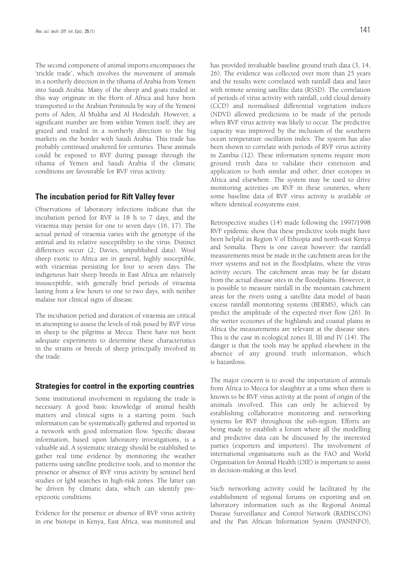The second component of animal imports encompasses the 'trickle trade', which involves the movement of animals in a northerly direction in the tihama of Arabia from Yemen into Saudi Arabia. Many of the sheep and goats traded in this way originate in the Horn of Africa and have been transported to the Arabian Peninsula by way of the Yemeni ports of Aden, Al Mukha and Al Hodeidah. However, a significant number are from within Yemen itself; they are grazed and traded in a northerly direction to the big markets on the border with Saudi Arabia. This trade has probably continued unaltered for centuries. These animals could be exposed to RVF during passage through the tihama of Yemen and Saudi Arabia if the climatic conditions are favourable for RVF virus activity.

#### **The incubation period for Rift Valley fever**

Observations of laboratory infections indicate that the incubation period for RVF is 18 h to 7 days, and the viraemia may persist for one to seven days (16, 17). The actual period of viraemia varies with the genotype of the animal and its relative susceptibility to the virus. Distinct differences occur (2; Davies, unpublished data). Wool sheep exotic to Africa are in general, highly susceptible, with viraemias persisting for four to seven days. The indigenous hair sheep breeds in East Africa are relatively insusceptible, with generally brief periods of viraemia lasting from a few hours to one to two days, with neither malaise nor clinical signs of disease.

The incubation period and duration of viraemia are critical in attempting to assess the levels of risk posed by RVF virus in sheep to the pilgrims at Mecca. There have not been adequate experiments to determine these characteristics in the strains or breeds of sheep principally involved in the trade.

#### **Strategies for control in the exporting countries**

Some institutional involvement in regulating the trade is necessary. A good basic knowledge of animal health matters and clinical signs is a starting point. Such information can be systematically gathered and reported in a network with good information flow. Specific disease information, based upon laboratory investigations, is a valuable aid. A systematic strategy should be established to gather real time evidence by monitoring the weather patterns using satellite predictive tools, and to monitor the presence or absence of RVF virus activity by sentinel herd studies or IgM searches in high-risk zones. The latter can be driven by climatic data, which can identify preepizootic conditions.

Evidence for the presence or absence of RVF virus activity in one biotope in Kenya, East Africa, was monitored and has provided invaluable baseline ground truth data (3, 14, 26). The evidence was collected over more than 25 years and the results were correlated with rainfall data and later with remote sensing satellite data (RSSD). The correlation of periods of virus activity with rainfall, cold cloud density (CCD) and normalised differential vegetation indices (NDVI) allowed predictions to be made of the periods when RVF virus activity was likely to occur. The predictive capacity was improved by the inclusion of the southern ocean temperature oscillation index. The system has also been shown to correlate with periods of RVF virus activity in Zambia (12). These information systems require more ground truth data to validate their extension and application to both similar and other, drier ecotopes in Africa and elsewhere. The system may be used to drive monitoring activities on RVF in these countries, where some baseline data of RVF virus activity is available or where identical ecosystems exist.

Retrospective studies (14) made following the 1997/1998 RVF epidemic show that these predictive tools might have been helpful in Region V of Ethiopia and north-east Kenya and Somalia. There is one caveat however: the rainfall measurements must be made in the catchment areas for the river systems and not in the floodplains, where the virus activity occurs. The catchment areas may be far distant from the actual disease sites in the floodplains. However, it is possible to measure rainfall in the mountain catchment areas for the rivers using a satellite data model of basin excess rainfall monitoring systems (BERMS), which can predict the amplitude of the expected river flow (26). In the wetter ecozones of the highlands and coastal plains in Africa the measurements are relevant at the disease sites. This is the case in ecological zones II, III and IV (14). The danger is that the tools may be applied elsewhere in the absence of any ground truth information, which is hazardous.

The major concern is to avoid the importation of animals from Africa to Mecca for slaughter at a time when there is known to be RVF virus activity at the point of origin of the animals involved. This can only be achieved by establishing collaborative monitoring and networking systems for RVF throughout the sub-region. Efforts are being made to establish a forum where all the modelling and predictive data can be discussed by the interested parties (exporters and importers). The involvement of international organisations such as the FAO and World Organisation for Animal Health (OIE) is important to assist in decision-making at this level.

Such networking activity could be facilitated by the establishment of regional forums on exporting and on laboratory information such as the Regional Animal Disease Surveillance and Control Network (RADISCON) and the Pan African Information System (PANINFO),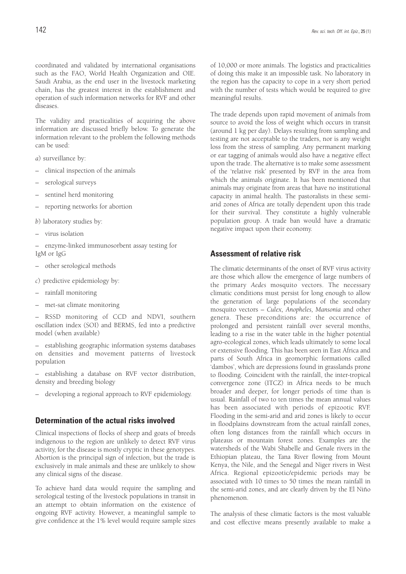coordinated and validated by international organisations such as the FAO, World Health Organization and OIE. Saudi Arabia, as the end user in the livestock marketing chain, has the greatest interest in the establishment and operation of such information networks for RVF and other diseases.

The validity and practicalities of acquiring the above information are discussed briefly below. To generate the information relevant to the problem the following methods can be used:

*a*) surveillance by:

- clinical inspection of the animals
- serological surveys
- sentinel herd monitoring
- reporting networks for abortion
- *b*) laboratory studies by:
- virus isolation
- enzyme-linked immunosorbent assay testing for IgM or IgG
- other serological methods
- *c*) predictive epidemiology by:
- rainfall monitoring
- met-sat climate monitoring

– RSSD monitoring of CCD and NDVI, southern oscillation index (SOI) and BERMS, fed into a predictive model (when available)

– establishing geographic information systems databases on densities and movement patterns of livestock population

– establishing a database on RVF vector distribution, density and breeding biology

– developing a regional approach to RVF epidemiology.

### **Determination of the actual risks involved**

Clinical inspections of flocks of sheep and goats of breeds indigenous to the region are unlikely to detect RVF virus activity, for the disease is mostly cryptic in these genotypes. Abortion is the principal sign of infection, but the trade is exclusively in male animals and these are unlikely to show any clinical signs of the disease.

To achieve hard data would require the sampling and serological testing of the livestock populations in transit in an attempt to obtain information on the existence of ongoing RVF activity. However, a meaningful sample to give confidence at the 1% level would require sample sizes of 10,000 or more animals. The logistics and practicalities of doing this make it an impossible task. No laboratory in the region has the capacity to cope in a very short period with the number of tests which would be required to give meaningful results.

The trade depends upon rapid movement of animals from source to avoid the loss of weight which occurs in transit (around 1 kg per day). Delays resulting from sampling and testing are not acceptable to the traders, nor is any weight loss from the stress of sampling. Any permanent marking or ear tagging of animals would also have a negative effect upon the trade. The alternative is to make some assessment of the 'relative risk' presented by RVF in the area from which the animals originate. It has been mentioned that animals may originate from areas that have no institutional capacity in animal health. The pastoralists in these semiarid zones of Africa are totally dependent upon this trade for their survival. They constitute a highly vulnerable population group. A trade ban would have a dramatic negative impact upon their economy.

### **Assessment of relative risk**

The climatic determinants of the onset of RVF virus activity are those which allow the emergence of large numbers of the primary *Aedes* mosquito vectors. The necessary climatic conditions must persist for long enough to allow the generation of large populations of the secondary mosquito vectors – *Culex, Anopheles, Mansonia* and other genera. These preconditions are: the occurrence of prolonged and persistent rainfall over several months, leading to a rise in the water table in the higher potential agro-ecological zones, which leads ultimately to some local or extensive flooding. This has been seen in East Africa and parts of South Africa in geomorphic formations called 'dambos', which are depressions found in grasslands prone to flooding. Coincident with the rainfall, the inter-tropical convergence zone (ITCZ) in Africa needs to be much broader and deeper, for longer periods of time than is usual. Rainfall of two to ten times the mean annual values has been associated with periods of epizootic RVF. Flooding in the semi-arid and arid zones is likely to occur in floodplains downstream from the actual rainfall zones, often long distances from the rainfall which occurs in plateaus or mountain forest zones. Examples are the watersheds of the Wabi Shabelle and Genale rivers in the Ethiopian plateau, the Tana River flowing from Mount Kenya, the Nile, and the Senegal and Niger rivers in West Africa. Regional epizootic/epidemic periods may be associated with 10 times to 50 times the mean rainfall in the semi-arid zones, and are clearly driven by the El Niño phenomenon.

The analysis of these climatic factors is the most valuable and cost effective means presently available to make a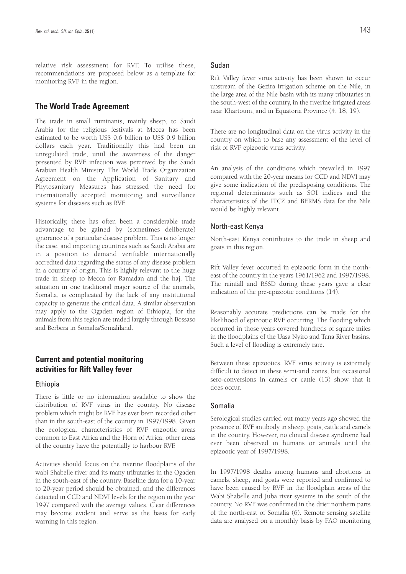relative risk assessment for RVF. To utilise these, recommendations are proposed below as a template for monitoring RVF in the region.

#### **The World Trade Agreement**

The trade in small ruminants, mainly sheep, to Saudi Arabia for the religious festivals at Mecca has been estimated to be worth US\$ 0.6 billion to US\$ 0.9 billion dollars each year. Traditionally this had been an unregulated trade, until the awareness of the danger presented by RVF infection was perceived by the Saudi Arabian Health Ministry. The World Trade Organization Agreement on the Application of Sanitary and Phytosanitary Measures has stressed the need for internationally accepted monitoring and surveillance systems for diseases such as RVF.

Historically, there has often been a considerable trade advantage to be gained by (sometimes deliberate) ignorance of a particular disease problem. This is no longer the case, and importing countries such as Saudi Arabia are in a position to demand verifiable internationally accredited data regarding the status of any disease problem in a country of origin. This is highly relevant to the huge trade in sheep to Mecca for Ramadan and the haj. The situation in one traditional major source of the animals, Somalia, is complicated by the lack of any institutional capacity to generate the critical data. A similar observation may apply to the Ogaden region of Ethiopia, for the animals from this region are traded largely through Bossaso and Berbera in Somalia/Somaliland.

## **Current and potential monitoring activities for Rift Valley fever**

#### Ethiopia

There is little or no information available to show the distribution of RVF virus in the country. No disease problem which might be RVF has ever been recorded other than in the south-east of the country in 1997/1998. Given the ecological characteristics of RVF enzootic areas common to East Africa and the Horn of Africa, other areas of the country have the potentially to harbour RVF.

Activities should focus on the riverine floodplains of the wabi Shabelle river and its many tributaries in the Ogaden in the south-east of the country. Baseline data for a 10-year to 20-year period should be obtained, and the differences detected in CCD and NDVI levels for the region in the year 1997 compared with the average values. Clear differences may become evident and serve as the basis for early warning in this region.

#### Sudan

Rift Valley fever virus activity has been shown to occur upstream of the Gezira irrigation scheme on the Nile, in the large area of the Nile basin with its many tributaries in the south-west of the country, in the riverine irrigated areas near Khartoum, and in Equatoria Province (4, 18, 19).

There are no longitudinal data on the virus activity in the country on which to base any assessment of the level of risk of RVF epizootic virus activity.

An analysis of the conditions which prevailed in 1997 compared with the 20-year means for CCD and NDVI may give some indication of the predisposing conditions. The regional determinants such as SOI indices and the characteristics of the ITCZ and BERMS data for the Nile would be highly relevant.

#### North-east Kenya

North-east Kenya contributes to the trade in sheep and goats in this region.

Rift Valley fever occurred in epizootic form in the northeast of the country in the years 1961/1962 and 1997/1998. The rainfall and RSSD during these years gave a clear indication of the pre-epizootic conditions (14).

Reasonably accurate predictions can be made for the likelihood of epizootic RVF occurring. The flooding which occurred in those years covered hundreds of square miles in the floodplains of the Uasa Nyiro and Tana River basins. Such a level of flooding is extremely rare.

Between these epizootics, RVF virus activity is extremely difficult to detect in these semi-arid zones, but occasional sero-conversions in camels or cattle (13) show that it does occur.

### Somalia

Serological studies carried out many years ago showed the presence of RVF antibody in sheep, goats, cattle and camels in the country. However, no clinical disease syndrome had ever been observed in humans or animals until the epizootic year of 1997/1998.

In 1997/1998 deaths among humans and abortions in camels, sheep, and goats were reported and confirmed to have been caused by RVF in the floodplain areas of the Wabi Shabelle and Juba river systems in the south of the country. No RVF was confirmed in the drier northern parts of the north-east of Somalia (6). Remote sensing satellite data are analysed on a monthly basis by FAO monitoring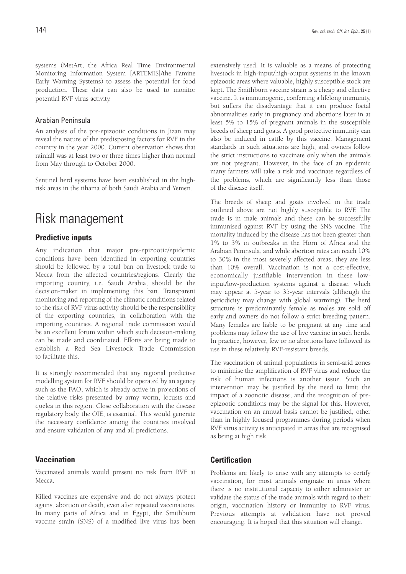systems (MetArt, the Africa Real Time Environmental Monitoring Information System [ARTEMIS]/the Famine Early Warning Systems) to assess the potential for food production. These data can also be used to monitor potential RVF virus activity.

#### Arabian Peninsula

An analysis of the pre-epizootic conditions in Jizan may reveal the nature of the predisposing factors for RVF in the country in the year 2000. Current observation shows that rainfall was at least two or three times higher than normal from May through to October 2000.

Sentinel herd systems have been established in the highrisk areas in the tihama of both Saudi Arabia and Yemen.

## Risk management

### **Predictive inputs**

Any indication that major pre-epizootic/epidemic conditions have been identified in exporting countries should be followed by a total ban on livestock trade to Mecca from the affected countries/regions. Clearly the importing country, i.e. Saudi Arabia, should be the decision-maker in implementing this ban. Transparent monitoring and reporting of the climatic conditions related to the risk of RVF virus activity should be the responsibility of the exporting countries, in collaboration with the importing countries. A regional trade commission would be an excellent forum within which such decision-making can be made and coordinated. Efforts are being made to establish a Red Sea Livestock Trade Commission to facilitate this.

It is strongly recommended that any regional predictive modelling system for RVF should be operated by an agency such as the FAO, which is already active in projections of the relative risks presented by army worm, locusts and quelea in this region. Close collaboration with the disease regulatory body, the OIE, is essential. This would generate the necessary confidence among the countries involved and ensure validation of any and all predictions.

### **Vaccination**

Vaccinated animals would present no risk from RVF at Mecca.

Killed vaccines are expensive and do not always protect against abortion or death, even after repeated vaccinations. In many parts of Africa and in Egypt, the Smithburn vaccine strain (SNS) of a modified live virus has been extensively used. It is valuable as a means of protecting livestock in high-input/high-output systems in the known epizootic areas where valuable, highly susceptible stock are kept. The Smithburn vaccine strain is a cheap and effective vaccine. It is immunogenic, conferring a lifelong immunity, but suffers the disadvantage that it can produce foetal abnormalities early in pregnancy and abortions later in at least 5% to 15% of pregnant animals in the susceptible breeds of sheep and goats. A good protective immunity can also be induced in cattle by this vaccine. Management standards in such situations are high, and owners follow the strict instructions to vaccinate only when the animals are not pregnant. However, in the face of an epidemic many farmers will take a risk and vaccinate regardless of the problems, which are significantly less than those of the disease itself.

The breeds of sheep and goats involved in the trade outlined above are not highly susceptible to RVF. The trade is in male animals and these can be successfully immunised against RVF by using the SNS vaccine. The mortality induced by the disease has not been greater than 1% to 3% in outbreaks in the Horn of Africa and the Arabian Peninsula, and while abortion rates can reach 10% to 30% in the most severely affected areas, they are less than 10% overall. Vaccination is not a cost-effective, economically justifiable intervention in these lowinput/low-production systems against a disease, which may appear at 5-year to 35-year intervals (although the periodicity may change with global warming). The herd structure is predominantly female as males are sold off early and owners do not follow a strict breeding pattern. Many females are liable to be pregnant at any time and problems may follow the use of live vaccine in such herds. In practice, however, few or no abortions have followed its use in these relatively RVF-resistant breeds.

The vaccination of animal populations in semi-arid zones to minimise the amplification of RVF virus and reduce the risk of human infections is another issue. Such an intervention may be justified by the need to limit the impact of a zoonotic disease, and the recognition of preepizootic conditions may be the signal for this. However, vaccination on an annual basis cannot be justified, other than in highly focused programmes during periods when RVF virus activity is anticipated in areas that are recognised as being at high risk.

### **Certification**

Problems are likely to arise with any attempts to certify vaccination, for most animals originate in areas where there is no institutional capacity to either administer or validate the status of the trade animals with regard to their origin, vaccination history or immunity to RVF virus. Previous attempts at validation have not proved encouraging. It is hoped that this situation will change.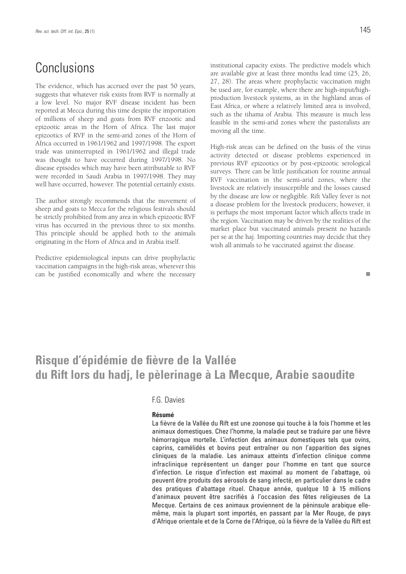## **Conclusions**

The evidence, which has accrued over the past 50 years, suggests that whatever risk exists from RVF is normally at a low level. No major RVF disease incident has been reported at Mecca during this time despite the importation of millions of sheep and goats from RVF enzootic and epizootic areas in the Horn of Africa. The last major epizootics of RVF in the semi-arid zones of the Horn of Africa occurred in 1961/1962 and 1997/1998. The export trade was uninterrupted in 1961/1962 and illegal trade was thought to have occurred during 1997/1998. No disease episodes which may have been attributable to RVF were recorded in Saudi Arabia in 1997/1998. They may well have occurred, however. The potential certainly exists.

The author strongly recommends that the movement of sheep and goats to Mecca for the religious festivals should be strictly prohibited from any area in which epizootic RVF virus has occurred in the previous three to six months. This principle should be applied both to the animals originating in the Horn of Africa and in Arabia itself.

Predictive epidemiological inputs can drive prophylactic vaccination campaigns in the high-risk areas, wherever this can be justified economically and where the necessary institutional capacity exists. The predictive models which are available give at least three months lead time (25, 26, 27, 28). The areas where prophylactic vaccination might be used are, for example, where there are high-input/highproduction livestock systems, as in the highland areas of East Africa, or where a relatively limited area is involved, such as the tihama of Arabia. This measure is much less feasible in the semi-arid zones where the pastoralists are moving all the time.

High-risk areas can be defined on the basis of the virus activity detected or disease problems experienced in previous RVF epizootics or by post-epizootic serological surveys. There can be little justification for routine annual RVF vaccination in the semi-arid zones, where the livestock are relatively insusceptible and the losses caused by the disease are low or negligible. Rift Valley fever is not a disease problem for the livestock producers; however, it is perhaps the most important factor which affects trade in the region. Vaccination may be driven by the realities of the market place but vaccinated animals present no hazards per se at the haj. Importing countries may decide that they wish all animals to be vaccinated against the disease.

## **Risque d'épidémie de fièvre de la Vallée du Rift lors du hadj, le pèlerinage à La Mecque, Arabie saoudite**

### F.G. Davies

#### **Résumé**

La fièvre de la Vallée du Rift est une zoonose qui touche à la fois l'homme et les animaux domestiques. Chez l'homme, la maladie peut se traduire par une fièvre hémorragique mortelle. L'infection des animaux domestiques tels que ovins, caprins, camélidés et bovins peut entraîner ou non l'apparition des signes cliniques de la maladie. Les animaux atteints d'infection clinique comme infraclinique représentent un danger pour l'homme en tant que source d'infection. Le risque d'infection est maximal au moment de l'abattage, où peuvent être produits des aérosols de sang infecté, en particulier dans le cadre des pratiques d'abattage rituel. Chaque année, quelque 10 à 15 millions d'animaux peuvent être sacrifiés à l'occasion des fêtes religieuses de La Mecque. Certains de ces animaux proviennent de la péninsule arabique ellemême, mais la plupart sont importés, en passant par la Mer Rouge, de pays d'Afrique orientale et de la Corne de l'Afrique, où la fièvre de la Vallée du Rift est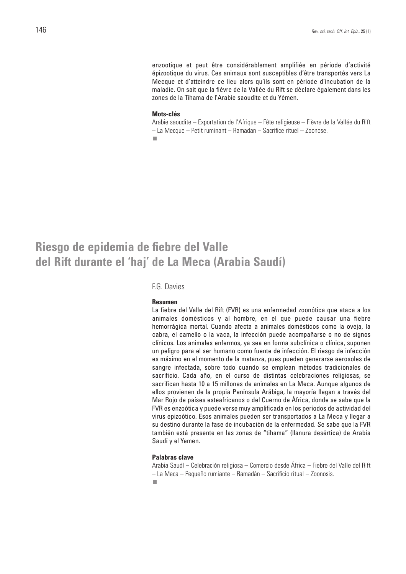enzootique et peut être considérablement amplifiée en période d'activité épizootique du virus. Ces animaux sont susceptibles d'être transportés vers La Mecque et d'atteindre ce lieu alors qu'ils sont en période d'incubation de la maladie. On sait que la fièvre de la Vallée du Rift se déclare également dans les zones de la Tihama de l'Arabie saoudite et du Yémen.

#### **Mots-clés**

Arabie saoudite – Exportation de l'Afrique – Fête religieuse – Fièvre de la Vallée du Rift – La Mecque – Petit ruminant – Ramadan – Sacrifice rituel – Zoonose. m,

## **Riesgo de epidemia de fiebre del Valle del Rift durante el 'haj' de La Meca (Arabia Saudí)**

#### F.G. Davies

#### **Resumen**

La fiebre del Valle del Rift (FVR) es una enfermedad zoonótica que ataca a los animales domésticos y al hombre, en el que puede causar una fiebre hemorrágica mortal. Cuando afecta a animales domésticos como la oveja, la cabra, el camello o la vaca, la infección puede acompañarse o no de signos clínicos. Los animales enfermos, ya sea en forma subclínica o clínica, suponen un peligro para el ser humano como fuente de infección. El riesgo de infección es máximo en el momento de la matanza, pues pueden generarse aerosoles de sangre infectada, sobre todo cuando se emplean métodos tradicionales de sacrificio. Cada año, en el curso de distintas celebraciones religiosas, se sacrifican hasta 10 a 15 millones de animales en La Meca. Aunque algunos de ellos provienen de la propia Península Arábiga, la mayoría llegan a través del Mar Rojo de países esteafricanos o del Cuerno de África, donde se sabe que la FVR es enzoótica y puede verse muy amplificada en los periodos de actividad del virus epizoótico. Esos animales pueden ser transportados a La Meca y llegar a su destino durante la fase de incubación de la enfermedad. Se sabe que la FVR también está presente en las zonas de "tihama" (llanura desértica) de Arabia Saudí y el Yemen.

#### **Palabras clave**

Arabia Saudí – Celebración religiosa – Comercio desde África – Fiebre del Valle del Rift – La Meca – Pequeño rumiante – Ramadán – Sacrificio ritual – Zoonosis.m.